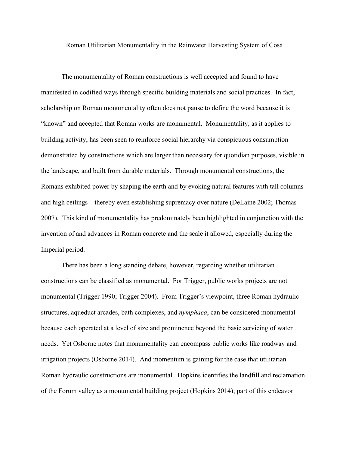Roman Utilitarian Monumentality in the Rainwater Harvesting System of Cosa

The monumentality of Roman constructions is well accepted and found to have manifested in codified ways through specific building materials and social practices. In fact, scholarship on Roman monumentality often does not pause to define the word because it is "known" and accepted that Roman works are monumental. Monumentality, as it applies to building activity, has been seen to reinforce social hierarchy via conspicuous consumption demonstrated by constructions which are larger than necessary for quotidian purposes, visible in the landscape, and built from durable materials. Through monumental constructions, the Romans exhibited power by shaping the earth and by evoking natural features with tall columns and high ceilings—thereby even establishing supremacy over nature (DeLaine 2002; Thomas 2007). This kind of monumentality has predominately been highlighted in conjunction with the invention of and advances in Roman concrete and the scale it allowed, especially during the Imperial period.

There has been a long standing debate, however, regarding whether utilitarian constructions can be classified as monumental. For Trigger, public works projects are not monumental (Trigger 1990; Trigger 2004). From Trigger's viewpoint, three Roman hydraulic structures, aqueduct arcades, bath complexes, and *nymphaea*, can be considered monumental because each operated at a level of size and prominence beyond the basic servicing of water needs. Yet Osborne notes that monumentality can encompass public works like roadway and irrigation projects (Osborne 2014). And momentum is gaining for the case that utilitarian Roman hydraulic constructions are monumental. Hopkins identifies the landfill and reclamation of the Forum valley as a monumental building project (Hopkins 2014); part of this endeavor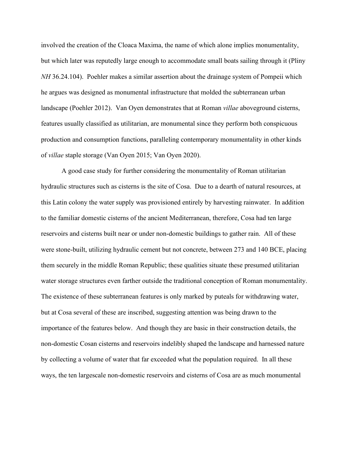involved the creation of the Cloaca Maxima, the name of which alone implies monumentality, but which later was reputedly large enough to accommodate small boats sailing through it (Pliny *NH* 36.24.104). Poehler makes a similar assertion about the drainage system of Pompeii which he argues was designed as monumental infrastructure that molded the subterranean urban landscape (Poehler 2012). Van Oyen demonstrates that at Roman *villae* aboveground cisterns, features usually classified as utilitarian, are monumental since they perform both conspicuous production and consumption functions, paralleling contemporary monumentality in other kinds of *villae* staple storage (Van Oyen 2015; Van Oyen 2020).

A good case study for further considering the monumentality of Roman utilitarian hydraulic structures such as cisterns is the site of Cosa. Due to a dearth of natural resources, at this Latin colony the water supply was provisioned entirely by harvesting rainwater. In addition to the familiar domestic cisterns of the ancient Mediterranean, therefore, Cosa had ten large reservoirs and cisterns built near or under non-domestic buildings to gather rain. All of these were stone-built, utilizing hydraulic cement but not concrete, between 273 and 140 BCE, placing them securely in the middle Roman Republic; these qualities situate these presumed utilitarian water storage structures even farther outside the traditional conception of Roman monumentality. The existence of these subterranean features is only marked by puteals for withdrawing water, but at Cosa several of these are inscribed, suggesting attention was being drawn to the importance of the features below. And though they are basic in their construction details, the non-domestic Cosan cisterns and reservoirs indelibly shaped the landscape and harnessed nature by collecting a volume of water that far exceeded what the population required. In all these ways, the ten largescale non-domestic reservoirs and cisterns of Cosa are as much monumental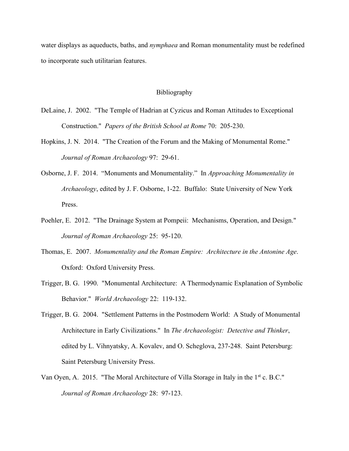water displays as aqueducts, baths, and *nymphaea* and Roman monumentality must be redefined to incorporate such utilitarian features.

## Bibliography

- DeLaine, J. 2002. "The Temple of Hadrian at Cyzicus and Roman Attitudes to Exceptional Construction." *Papers of the British School at Rome* 70: 205-230.
- Hopkins, J. N. 2014. "The Creation of the Forum and the Making of Monumental Rome." *Journal of Roman Archaeology* 97: 29-61.
- Osborne, J. F. 2014. "Monuments and Monumentality." In *Approaching Monumentality in Archaeology*, edited by J. F. Osborne, 1-22. Buffalo: State University of New York Press.
- Poehler, E. 2012. "The Drainage System at Pompeii: Mechanisms, Operation, and Design." *Journal of Roman Archaeology* 25: 95-120.
- Thomas, E. 2007. *Monumentality and the Roman Empire: Architecture in the Antonine Age*. Oxford: Oxford University Press.
- Trigger, B. G. 1990. "Monumental Architecture: A Thermodynamic Explanation of Symbolic Behavior." *World Archaeology* 22: 119-132.
- Trigger, B. G. 2004. "Settlement Patterns in the Postmodern World: A Study of Monumental Architecture in Early Civilizations." In *The Archaeologist: Detective and Thinker*, edited by L. Vihnyatsky, A. Kovalev, and O. Scheglova, 237-248. Saint Petersburg: Saint Petersburg University Press.
- Van Oyen, A. 2015. "The Moral Architecture of Villa Storage in Italy in the 1<sup>st</sup> c. B.C." *Journal of Roman Archaeology* 28: 97-123.